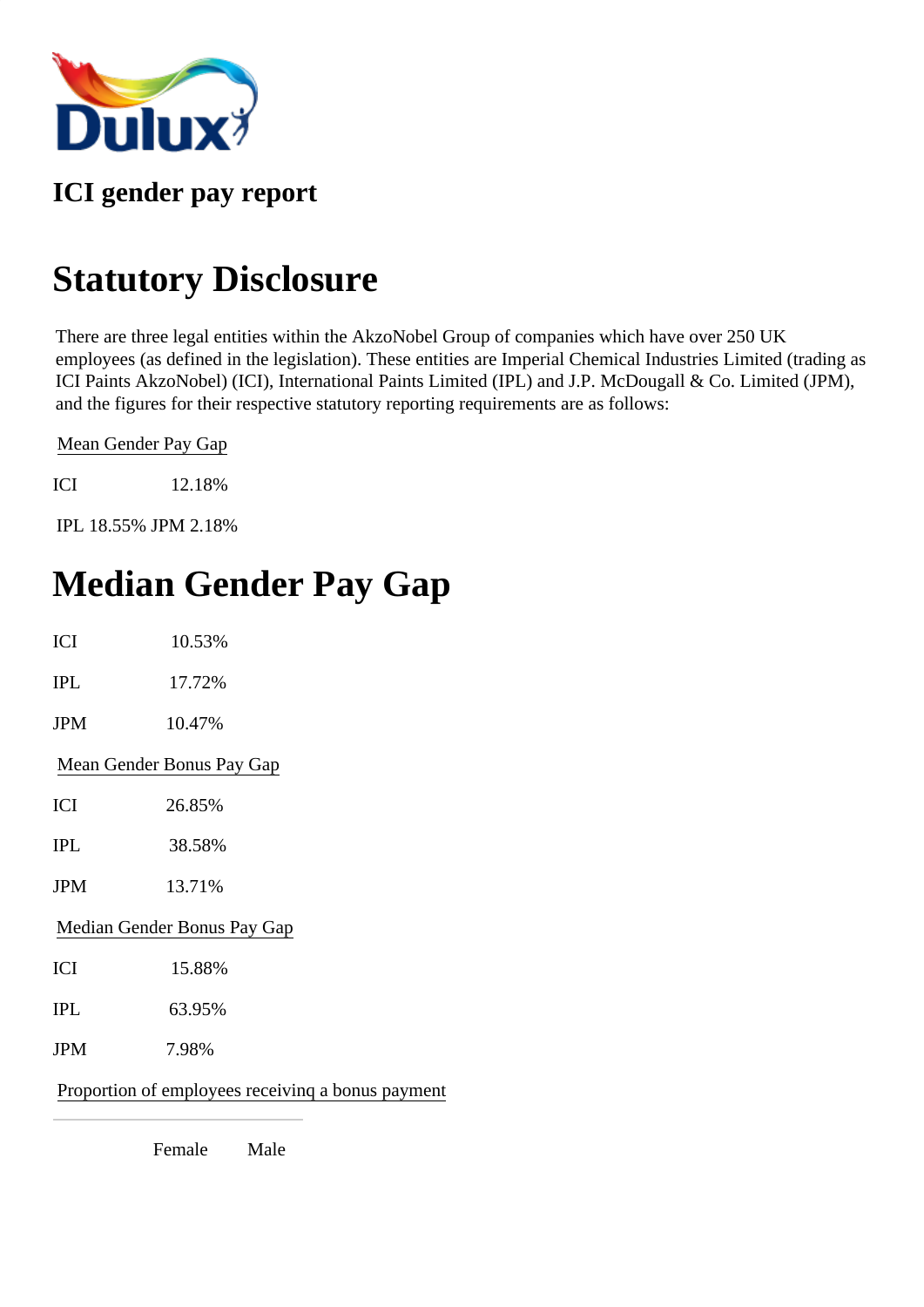

#### **ICI gender pay report**

# **Statutory Disclosure**

There are three legal entities within the AkzoNobel Group of companies which have over 250 UK employees (as defined in the legislation). These entities are Imperial Chemical Industries Limited (trading as ICI Paints AkzoNobel) (ICI), International Paints Limited (IPL) and J.P. McDougall & Co. Limited (JPM), and the figures for their respective statutory reporting requirements are as follows:

Mean Gender Pay Gap

ICI 12.18%

IPL 18.55% JPM 2.18%

# **Median Gender Pay Gap**

| <b>ICI</b> | 10.53%                                            |
|------------|---------------------------------------------------|
| <b>IPL</b> | 17.72%                                            |
| <b>JPM</b> | 10.47%                                            |
|            | Mean Gender Bonus Pay Gap                         |
| ICI        | 26.85%                                            |
| <b>IPL</b> | 38.58%                                            |
| <b>JPM</b> | 13.71%                                            |
|            | Median Gender Bonus Pay Gap                       |
| ICI        | 15.88%                                            |
| <b>IPL</b> | 63.95%                                            |
| <b>JPM</b> | 7.98%                                             |
|            | Proportion of employees receiving a bonus payment |

Female Male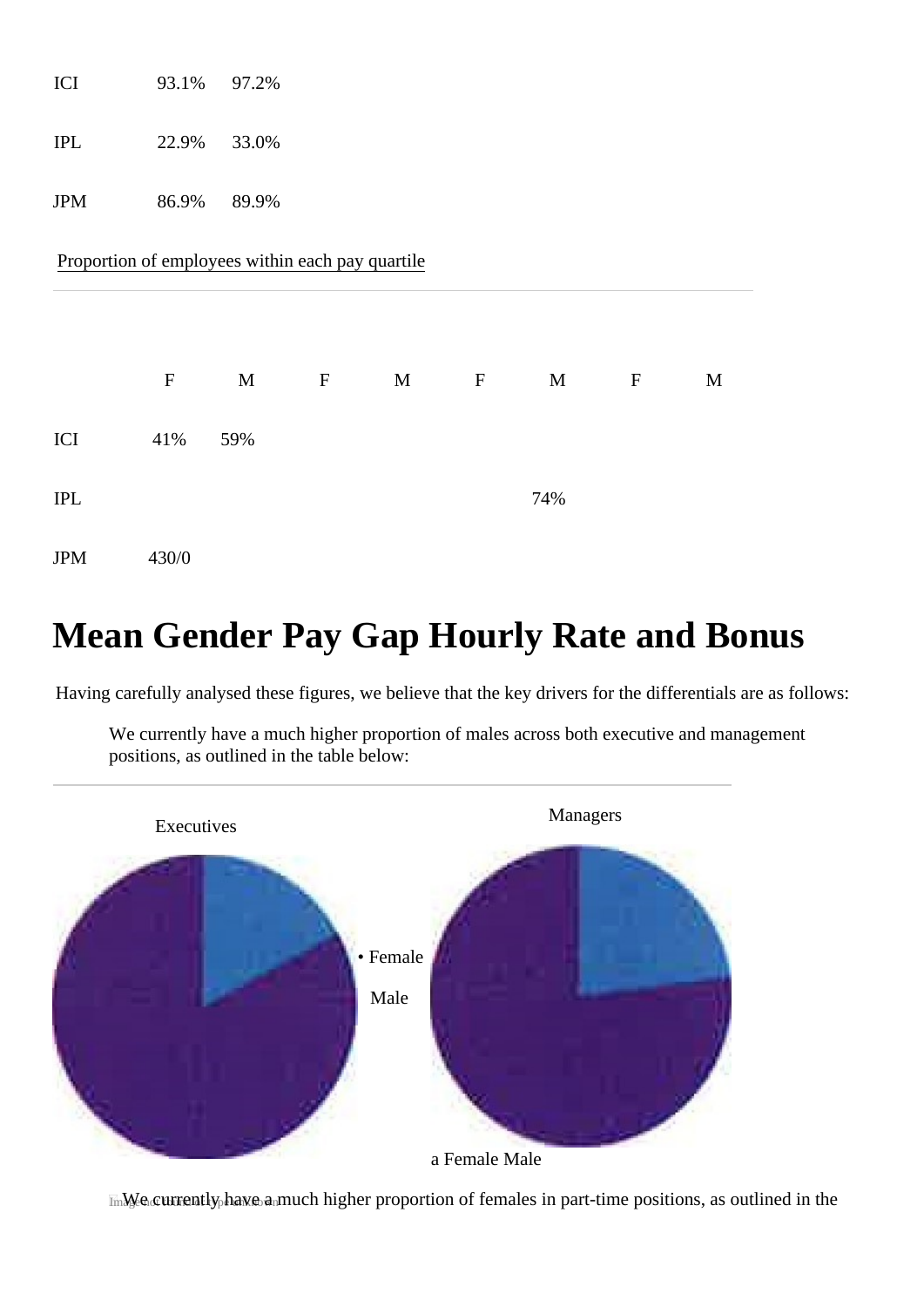| ICI                         | 93.1%                                            | 97.2%       |                           |   |                           |     |             |             |
|-----------------------------|--------------------------------------------------|-------------|---------------------------|---|---------------------------|-----|-------------|-------------|
| $\ensuremath{\mathit{IPL}}$ | 22.9%                                            | 33.0%       |                           |   |                           |     |             |             |
| <b>JPM</b>                  | 86.9%                                            | 89.9%       |                           |   |                           |     |             |             |
|                             | Proportion of employees within each pay quartile |             |                           |   |                           |     |             |             |
|                             |                                                  |             |                           |   |                           |     |             |             |
|                             | ${\bf F}$                                        | $\mathbf M$ | $\boldsymbol{\mathrm{F}}$ | M | $\boldsymbol{\mathrm{F}}$ | M   | $\mathbf F$ | $\mathbf M$ |
| ICI                         | 41%                                              | 59%         |                           |   |                           |     |             |             |
| $\ensuremath{\mathit{IPL}}$ |                                                  |             |                           |   |                           | 74% |             |             |
| <b>JPM</b>                  | 430/0                                            |             |                           |   |                           |     |             |             |

# **Mean Gender Pay Gap Hourly Rate and Bonus**

Having carefully analysed these figures, we believe that the key drivers for the differentials are as follows:

We currently have a much higher proportion of males across both executive and management positions, as outlined in the table below:



ImMe currently have a much higher proportion of females in part-time positions, as outlined in the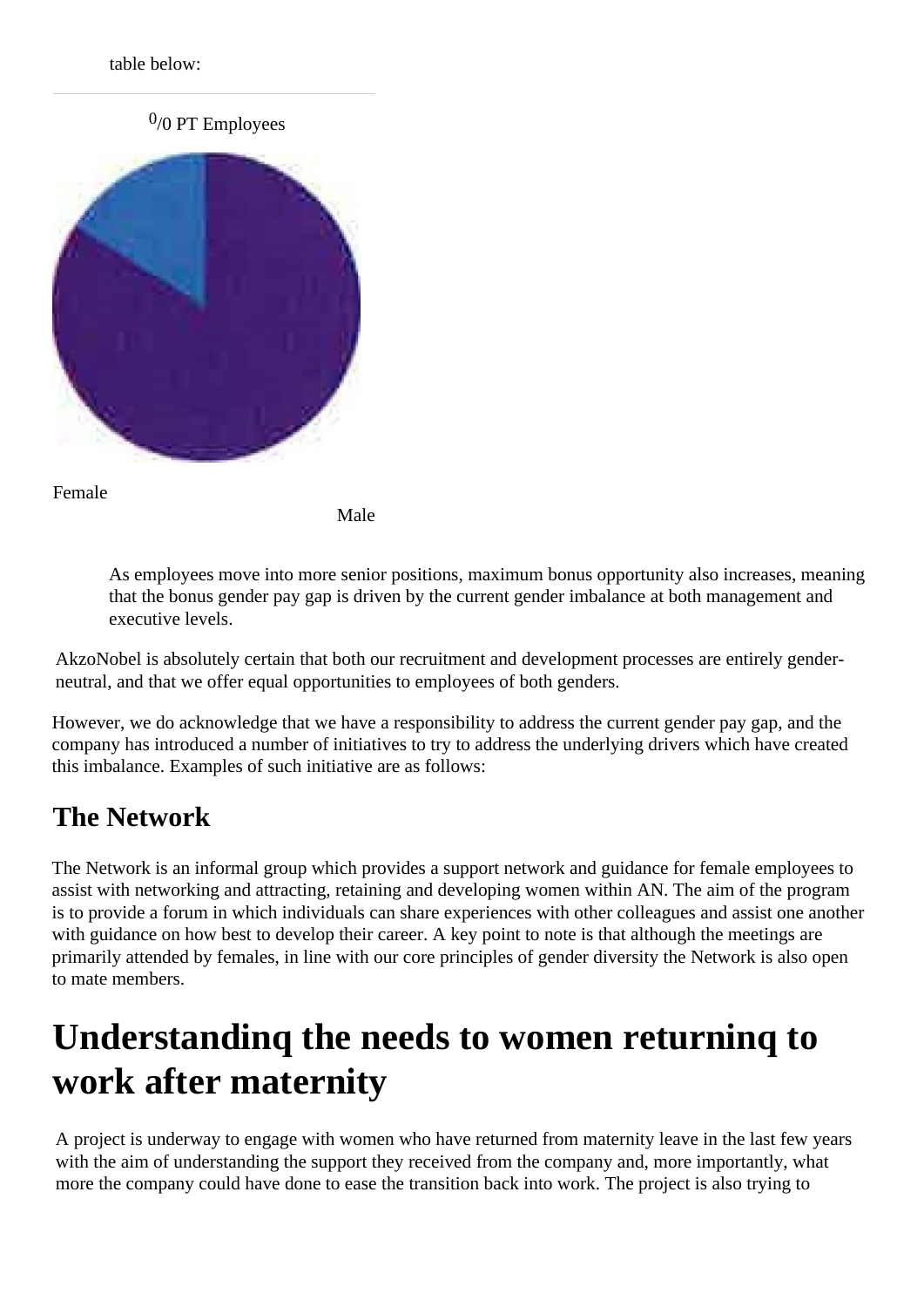table below:

 $0/0$  PT Employees



Female

Male

As employees move into more senior positions, maximum bonus opportunity also increases, meaning that the bonus gender pay gap is driven by the current gender imbalance at both management and executive levels.

AkzoNobel is absolutely certain that both our recruitment and development processes are entirely genderneutral, and that we offer equal opportunities to employees of both genders.

However, we do acknowledge that we have a responsibility to address the current gender pay gap, and the company has introduced a number of initiatives to try to address the underlying drivers which have created this imbalance. Examples of such initiative are as follows:

### **The Network**

The Network is an informal group which provides a support network and guidance for female employees to assist with networking and attracting, retaining and developing women within AN. The aim of the program is to provide a forum in which individuals can share experiences with other colleagues and assist one another with guidance on how best to develop their career. A key point to note is that although the meetings are primarily attended by females, in line with our core principles of gender diversity the Network is also open to mate members.

# **Understandinq the needs to women returninq to work after maternity**

A project is underway to engage with women who have returned from maternity leave in the last few years with the aim of understanding the support they received from the company and, more importantly, what more the company could have done to ease the transition back into work. The project is also trying to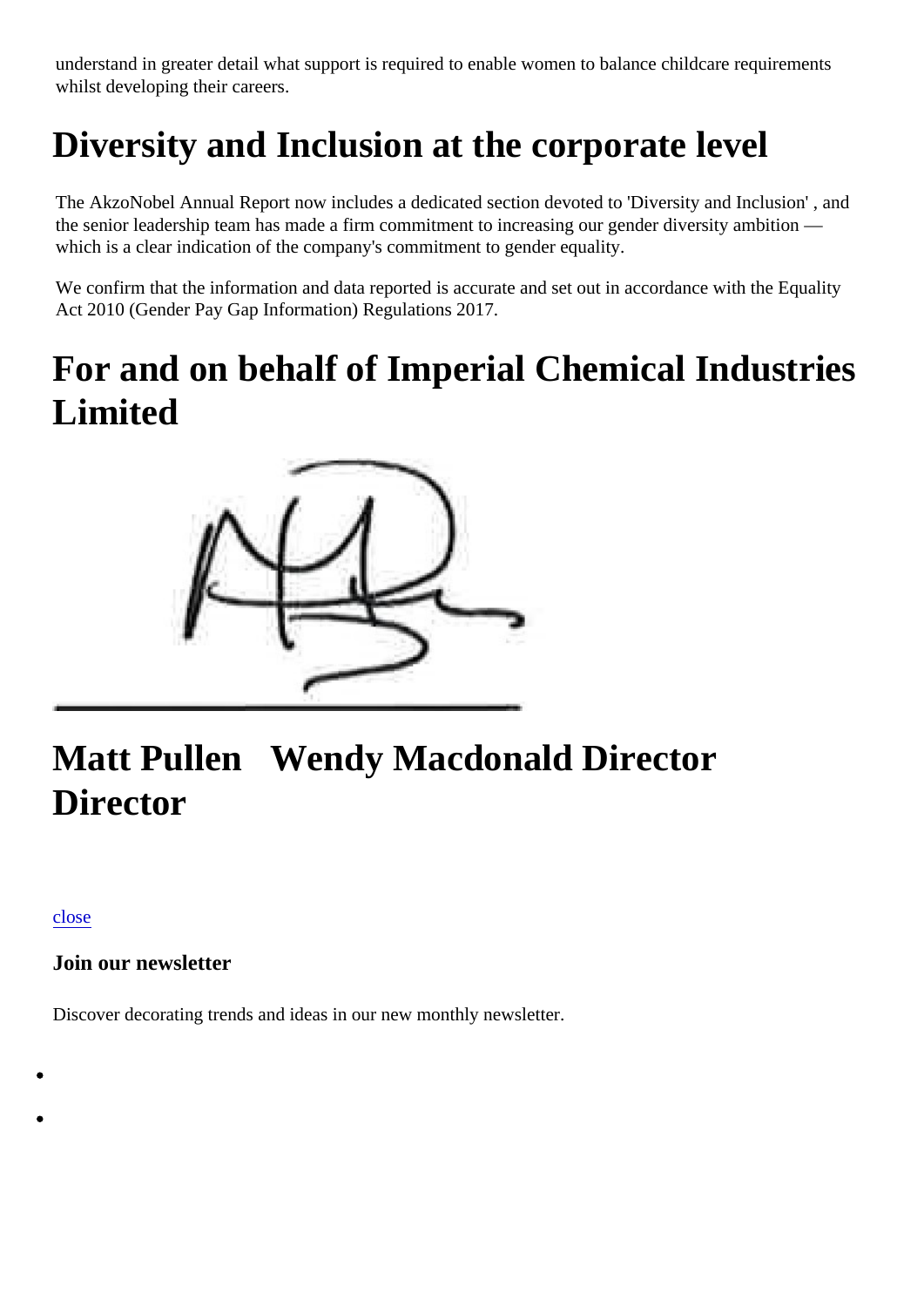understand in greater detail what support is required to enable women to balance childcare requirements whilst developing their careers.

# **Diversity and Inclusion at the corporate level**

The AkzoNobel Annual Report now includes a dedicated section devoted to 'Diversity and Inclusion' , and the senior leadership team has made a firm commitment to increasing our gender diversity ambition which is a clear indication of the company's commitment to gender equality.

We confirm that the information and data reported is accurate and set out in accordance with the Equality Act 2010 (Gender Pay Gap Information) Regulations 2017.

# **For and on behalf of Imperial Chemical Industries Limited**



# **Matt Pullen Wendy Macdonald Director Director**

[close](https://www.dulux.co.uk/printpdf/92391#)

#### **Join our newsletter**

Discover decorating trends and ideas in our new monthly newsletter.